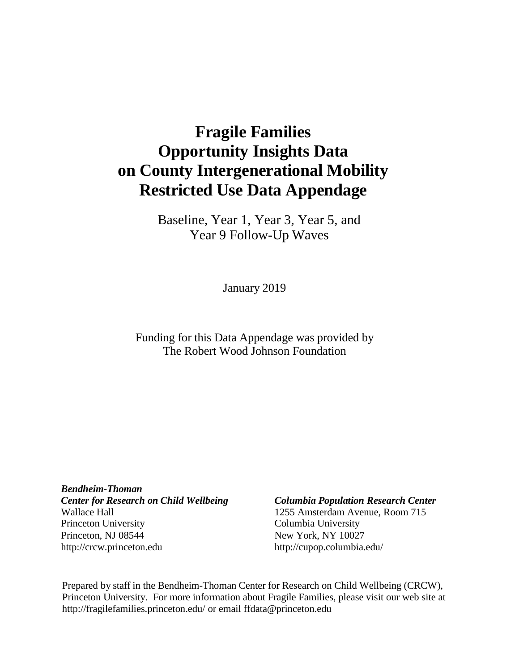# **Fragile Families Opportunity Insights Data on County Intergenerational Mobility Restricted Use Data Appendage**

Baseline, Year 1, Year 3, Year 5, and Year 9 Follow-Up Waves

January 2019

Funding for this Data Appendage was provided by The Robert Wood Johnson Foundation

*Bendheim-Thoman Center for Research on Child Wellbeing Columbia Population Research Center* Wallace Hall 1255 Amsterdam Avenue, Room 715 Princeton University Columbia University Princeton, NJ 08544 New York, NY 10027 [http://crcw.princeton.edu](http://crcw.princeton.edu/) [http://cupop.columbia.edu/](http://crcw.princeton.edu/)

Prepared by staff in the Bendheim-Thoman Center for Research on Child Wellbeing (CRCW), Princeton University. For more information about Fragile Families, please visit our web site [at](http://fragilefamilies.princeton.edu/) <http://fragilefamilies.princeton.edu/> or email [ffdata@princeton.edu](mailto:ffdata@princeton.edu)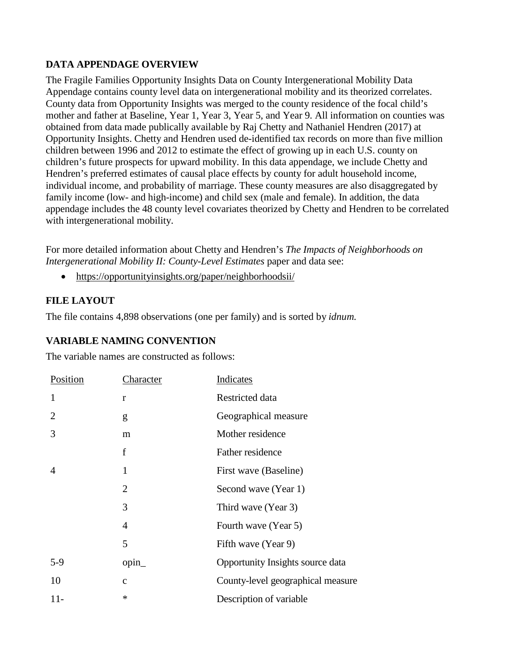# **DATA APPENDAGE OVERVIEW**

The Fragile Families Opportunity Insights Data on County Intergenerational Mobility Data Appendage contains county level data on intergenerational mobility and its theorized correlates. County data from Opportunity Insights was merged to the county residence of the focal child's mother and father at Baseline, Year 1, Year 3, Year 5, and Year 9. All information on counties was obtained from data made publically available by Raj Chetty and Nathaniel Hendren (2017) at Opportunity Insights. Chetty and Hendren used de-identified tax records on more than five million children between 1996 and 2012 to estimate the effect of growing up in each U.S. county on children's future prospects for upward mobility. In this data appendage, we include Chetty and Hendren's preferred estimates of causal place effects by county for adult household income, individual income, and probability of marriage. These county measures are also disaggregated by family income (low- and high-income) and child sex (male and female). In addition, the data appendage includes the 48 county level covariates theorized by Chetty and Hendren to be correlated with intergenerational mobility.

For more detailed information about Chetty and Hendren's *The Impacts of Neighborhoods on Intergenerational Mobility II: County-Level Estimates* paper and data see:

• <https://opportunityinsights.org/paper/neighborhoodsii/>

# **FILE LAYOUT**

The file contains 4,898 observations (one per family) and is sorted by *idnum.*

# **VARIABLE NAMING CONVENTION**

The variable names are constructed as follows:

| <b>Position</b> | <u>Character</u> | <b>Indicates</b>                  |
|-----------------|------------------|-----------------------------------|
| 1               | r                | Restricted data                   |
| 2               | g                | Geographical measure              |
| 3               | m                | Mother residence                  |
|                 | f                | Father residence                  |
| 4               | 1                | First wave (Baseline)             |
|                 | $\overline{2}$   | Second wave (Year 1)              |
|                 | 3                | Third wave (Year 3)               |
|                 | $\overline{4}$   | Fourth wave (Year 5)              |
|                 | 5                | Fifth wave (Year 9)               |
| $5-9$           | $opin_$          | Opportunity Insights source data  |
| 10              | $\mathbf{c}$     | County-level geographical measure |
| $11-$           | $\ast$           | Description of variable           |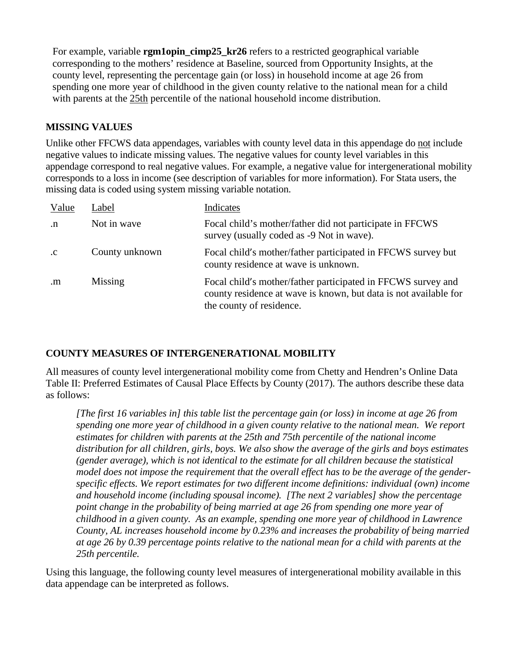For example, variable **rgm1opin\_cimp25\_kr26** refers to a restricted geographical variable corresponding to the mothers' residence at Baseline, sourced from Opportunity Insights, at the county level, representing the percentage gain (or loss) in household income at age 26 from spending one more year of childhood in the given county relative to the national mean for a child with parents at the 25th percentile of the national household income distribution.

# **MISSING VALUES**

Unlike other FFCWS data appendages, variables with county level data in this appendage do not include negative values to indicate missing values. The negative values for county level variables in this appendage correspond to real negative values. For example, a negative value for intergenerational mobility corresponds to a loss in income (see description of variables for more information). For Stata users, the missing data is coded using system missing variable notation.

| Value        | Label          | Indicates                                                                                                                                                    |
|--------------|----------------|--------------------------------------------------------------------------------------------------------------------------------------------------------------|
| $\cdot$ n    | Not in wave    | Focal child's mother/father did not participate in FFCWS<br>survey (usually coded as -9 Not in wave).                                                        |
| $\cdot c$    | County unknown | Focal child's mother/father participated in FFCWS survey but<br>county residence at wave is unknown.                                                         |
| $\mathbf{m}$ | Missing        | Focal child's mother/father participated in FFCWS survey and<br>county residence at wave is known, but data is not available for<br>the county of residence. |

# **COUNTY MEASURES OF INTERGENERATIONAL MOBILITY**

All measures of county level intergenerational mobility come from Chetty and Hendren's Online Data Table II: Preferred Estimates of Causal Place Effects by County (2017). The authors describe these data as follows:

*[The first 16 variables in] this table list the percentage gain (or loss) in income at age 26 from spending one more year of childhood in a given county relative to the national mean. We report estimates for children with parents at the 25th and 75th percentile of the national income distribution for all children, girls, boys. We also show the average of the girls and boys estimates (gender average), which is not identical to the estimate for all children because the statistical model does not impose the requirement that the overall effect has to be the average of the genderspecific effects. We report estimates for two different income definitions: individual (own) income and household income (including spousal income). [The next 2 variables] show the percentage*  point change in the probability of being married at age 26 from spending one more year of *childhood in a given county. As an example, spending one more year of childhood in Lawrence County, AL increases household income by 0.23% and increases the probability of being married at age 26 by 0.39 percentage points relative to the national mean for a child with parents at the 25th percentile.* 

Using this language, the following county level measures of intergenerational mobility available in this data appendage can be interpreted as follows.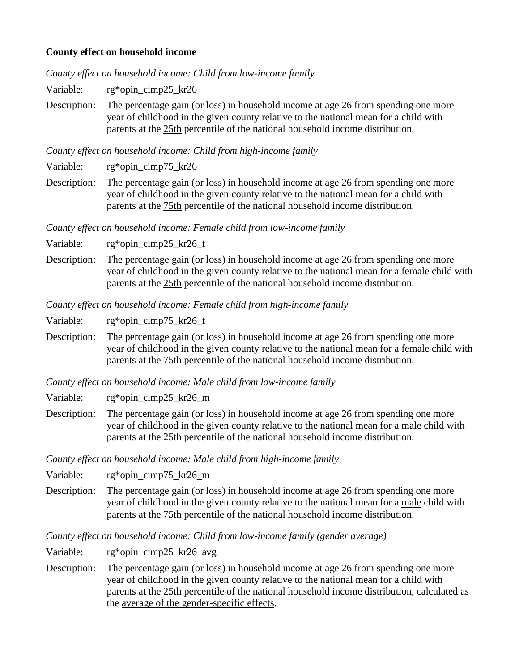# **County effect on household income**

*County effect on household income: Child from low-income family*

Variable: rg\*opin\_cimp25\_kr26

Description: The percentage gain (or loss) in household income at age 26 from spending one more year of childhood in the given county relative to the national mean for a child with parents at the 25th percentile of the national household income distribution.

*County effect on household income: Child from high-income family*

Variable: rg\*opin\_cimp75\_kr26

Description: The percentage gain (or loss) in household income at age 26 from spending one more year of childhood in the given county relative to the national mean for a child with parents at the 75th percentile of the national household income distribution.

*County effect on household income: Female child from low-income family*

Variable: rg\*opin\_cimp25\_kr26\_f

Description: The percentage gain (or loss) in household income at age 26 from spending one more year of childhood in the given county relative to the national mean for a female child with parents at the 25th percentile of the national household income distribution.

*County effect on household income: Female child from high-income family*

Variable: rg\*opin\_cimp75\_kr26\_f

Description: The percentage gain (or loss) in household income at age 26 from spending one more year of childhood in the given county relative to the national mean for a female child with parents at the 75th percentile of the national household income distribution.

*County effect on household income: Male child from low-income family*

Variable: rg\*opin\_cimp25\_kr26\_m

Description: The percentage gain (or loss) in household income at age 26 from spending one more year of childhood in the given county relative to the national mean for a male child with parents at the 25th percentile of the national household income distribution.

*County effect on household income: Male child from high-income family*

Variable: rg\*opin\_cimp75\_kr26\_m

Description: The percentage gain (or loss) in household income at age 26 from spending one more year of childhood in the given county relative to the national mean for a male child with parents at the 75th percentile of the national household income distribution.

*County effect on household income: Child from low-income family (gender average)*

Variable: rg\*opin\_cimp25\_kr26\_avg

Description: The percentage gain (or loss) in household income at age 26 from spending one more year of childhood in the given county relative to the national mean for a child with parents at the 25th percentile of the national household income distribution, calculated as the average of the gender-specific effects.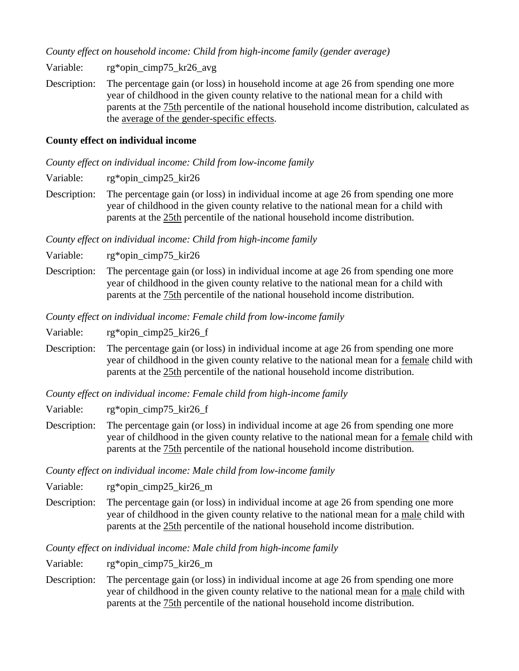*County effect on household income: Child from high-income family (gender average)*

Variable: rg\*opin\_cimp75\_kr26\_avg

Description: The percentage gain (or loss) in household income at age 26 from spending one more year of childhood in the given county relative to the national mean for a child with parents at the 75th percentile of the national household income distribution, calculated as the average of the gender-specific effects.

# **County effect on individual income**

*County effect on individual income: Child from low-income family*

Variable: rg\*opin\_cimp25\_kir26

Description: The percentage gain (or loss) in individual income at age 26 from spending one more year of childhood in the given county relative to the national mean for a child with parents at the 25th percentile of the national household income distribution.

*County effect on individual income: Child from high-income family*

Variable: rg\*opin\_cimp75\_kir26

Description: The percentage gain (or loss) in individual income at age 26 from spending one more year of childhood in the given county relative to the national mean for a child with parents at the 75th percentile of the national household income distribution.

*County effect on individual income: Female child from low-income family*

Variable: rg\*opin\_cimp25\_kir26\_f

Description: The percentage gain (or loss) in individual income at age 26 from spending one more year of childhood in the given county relative to the national mean for a female child with parents at the 25th percentile of the national household income distribution.

*County effect on individual income: Female child from high-income family*

Variable: rg\*opin\_cimp75\_kir26\_f

Description: The percentage gain (or loss) in individual income at age 26 from spending one more year of childhood in the given county relative to the national mean for a female child with parents at the 75th percentile of the national household income distribution.

*County effect on individual income: Male child from low-income family*

Variable: rg\*opin\_cimp25\_kir26\_m

Description: The percentage gain (or loss) in individual income at age 26 from spending one more year of childhood in the given county relative to the national mean for a male child with parents at the 25th percentile of the national household income distribution.

*County effect on individual income: Male child from high-income family*

Variable: rg\*opin\_cimp75\_kir26\_m

Description: The percentage gain (or loss) in individual income at age 26 from spending one more year of childhood in the given county relative to the national mean for a male child with parents at the 75th percentile of the national household income distribution.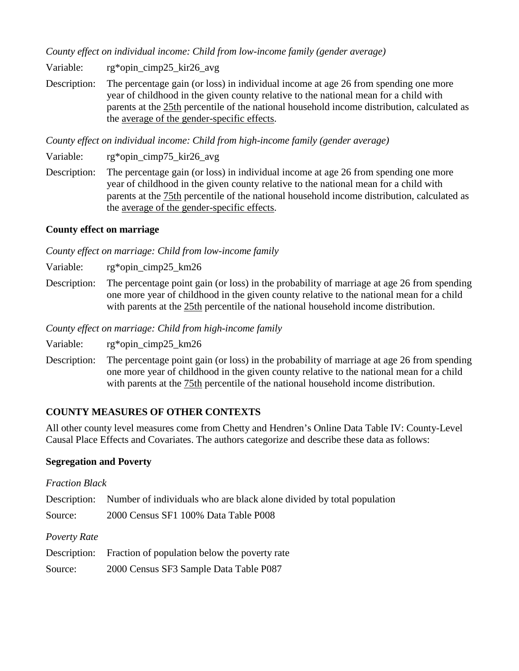*County effect on individual income: Child from low-income family (gender average)*

Variable: rg\*opin\_cimp25\_kir26\_avg

Description: The percentage gain (or loss) in individual income at age 26 from spending one more year of childhood in the given county relative to the national mean for a child with parents at the 25th percentile of the national household income distribution, calculated as the average of the gender-specific effects.

*County effect on individual income: Child from high-income family (gender average)*

Variable: rg\*opin\_cimp75\_kir26\_avg

Description: The percentage gain (or loss) in individual income at age 26 from spending one more year of childhood in the given county relative to the national mean for a child with parents at the 75th percentile of the national household income distribution, calculated as the average of the gender-specific effects.

# **County effect on marriage**

*County effect on marriage: Child from low-income family*

Variable: rg\*opin\_cimp25\_km26

Description: The percentage point gain (or loss) in the probability of marriage at age 26 from spending one more year of childhood in the given county relative to the national mean for a child with parents at the 25th percentile of the national household income distribution.

*County effect on marriage: Child from high-income family*

Variable: rg\*opin\_cimp25\_km26

Description: The percentage point gain (or loss) in the probability of marriage at age 26 from spending one more year of childhood in the given county relative to the national mean for a child with parents at the 75th percentile of the national household income distribution.

# **COUNTY MEASURES OF OTHER CONTEXTS**

All other county level measures come from Chetty and Hendren's Online Data Table IV: County-Level Causal Place Effects and Covariates. The authors categorize and describe these data as follows:

#### **Segregation and Poverty**

| <b>Fraction Black</b> |                                                                                    |
|-----------------------|------------------------------------------------------------------------------------|
|                       | Description: Number of individuals who are black alone divided by total population |
| Source:               | 2000 Census SF1 100% Data Table P008                                               |
| Poverty Rate          |                                                                                    |
|                       | Description: Fraction of population below the poverty rate                         |

| Source: | 2000 Census SF3 Sample Data Table P087 |  |  |
|---------|----------------------------------------|--|--|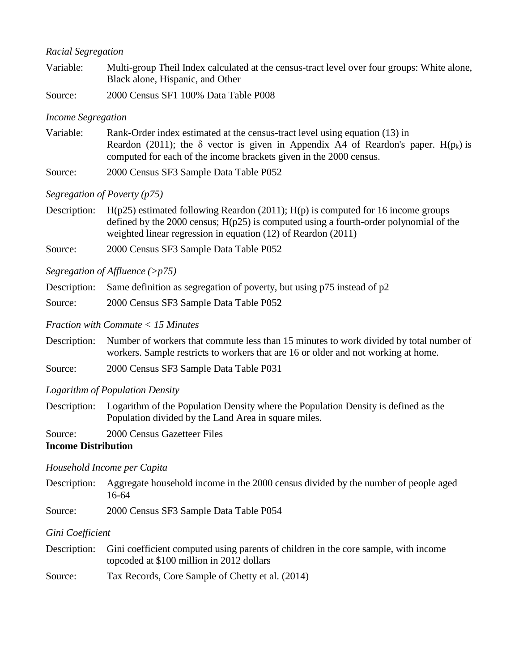# *Racial Segregation*

| Variable: |        | Multi-group Theil Index calculated at the census-tract level over four groups: White alone,<br>Black alone, Hispanic, and Other |
|-----------|--------|---------------------------------------------------------------------------------------------------------------------------------|
|           | $\sim$ | $0.0111000 \times N \times 110000$                                                                                              |

Source: 2000 Census SF1 100% Data Table P008

### *Income Segregation*

Variable: Rank-Order index estimated at the census-tract level using equation (13) in Reardon (2011); the  $\delta$  vector is given in Appendix A4 of Reardon's paper. H(p<sub>k</sub>) is computed for each of the income brackets given in the 2000 census.

Source: 2000 Census SF3 Sample Data Table P052

# *Segregation of Poverty (p75)*

- Description:  $H(p25)$  estimated following Reardon (2011);  $H(p)$  is computed for 16 income groups defined by the 2000 census; H(p25) is computed using a fourth-order polynomial of the weighted linear regression in equation (12) of Reardon (2011)
- Source: 2000 Census SF3 Sample Data Table P052

# *Segregation of Affluence (>p75)*

- Description: Same definition as segregation of poverty, but using p75 instead of p2
- Source: 2000 Census SF3 Sample Data Table P052

*Fraction with Commute < 15 Minutes*

- Description: Number of workers that commute less than 15 minutes to work divided by total number of workers. Sample restricts to workers that are 16 or older and not working at home.
- Source: 2000 Census SF3 Sample Data Table P031

#### *Logarithm of Population Density*

- Description: Logarithm of the Population Density where the Population Density is defined as the Population divided by the Land Area in square miles.
- Source: 2000 Census Gazetteer Files

**Income Distribution**

#### *Household Income per Capita*

- Description: Aggregate household income in the 2000 census divided by the number of people aged 16-64
- Source: 2000 Census SF3 Sample Data Table P054

# *Gini Coefficient*

- Description: Gini coefficient computed using parents of children in the core sample, with income topcoded at \$100 million in 2012 dollars
- Source: Tax Records, Core Sample of Chetty et al. (2014)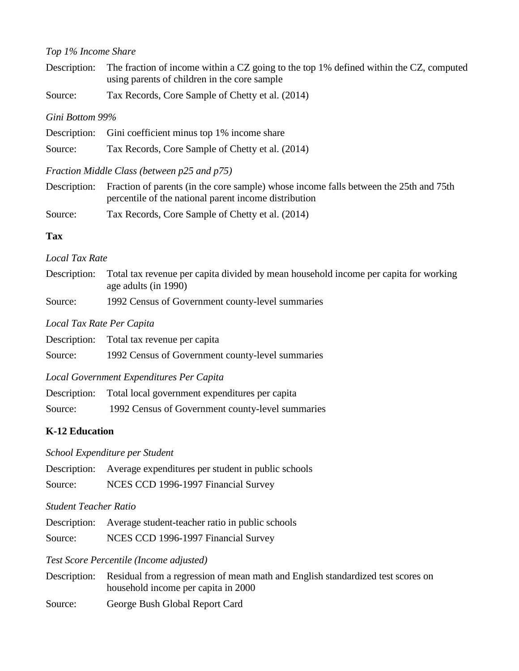### *Top 1% Income Share*

| Description: The fraction of income within a CZ going to the top 1% defined within the CZ, computed |
|-----------------------------------------------------------------------------------------------------|
| using parents of children in the core sample                                                        |

Source: Tax Records, Core Sample of Chetty et al. (2014)

### *Gini Bottom 99%*

|         | Description: Gini coefficient minus top 1% income share |
|---------|---------------------------------------------------------|
| Source: | Tax Records, Core Sample of Chetty et al. (2014)        |

# *Fraction Middle Class (between p25 and p75)*

- Description: Fraction of parents (in the core sample) whose income falls between the 25th and 75th percentile of the national parent income distribution
- Source: Tax Records, Core Sample of Chetty et al. (2014)

# **Tax**

# *Local Tax Rate*

| Description: Total tax revenue per capita divided by mean household income per capita for working |
|---------------------------------------------------------------------------------------------------|
| age adults (in 1990)                                                                              |

Source: 1992 Census of Government county-level summaries

# *Local Tax Rate Per Capita*

|         | Description: Total tax revenue per capita        |
|---------|--------------------------------------------------|
| Source: | 1992 Census of Government county-level summaries |

# *Local Government Expenditures Per Capita*

| Description: | Total local government expenditures per capita   |
|--------------|--------------------------------------------------|
| Source:      | 1992 Census of Government county-level summaries |

# **K-12 Education**

*School Expenditure per Student* 

| Description: | Average expenditures per student in public schools |  |  |
|--------------|----------------------------------------------------|--|--|
|--------------|----------------------------------------------------|--|--|

Source: NCES CCD 1996-1997 Financial Survey

# *Student Teacher Ratio*

Description: Average student-teacher ratio in public schools

Source: NCES CCD 1996-1997 Financial Survey

#### *Test Score Percentile (Income adjusted)*

Description: Residual from a regression of mean math and English standardized test scores on household income per capita in 2000

Source: George Bush Global Report Card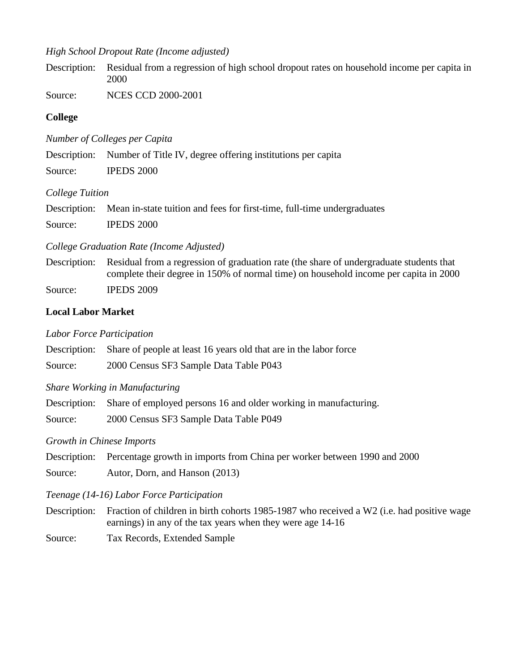# *High School Dropout Rate (Income adjusted)*

Description: Residual from a regression of high school dropout rates on household income per capita in 2000

Source: NCES CCD 2000-2001

# **College**

*Number of Colleges per Capita* 

Description: Number of Title IV, degree offering institutions per capita

Source: IPEDS 2000

# *College Tuition*

| Description: Mean in-state tuition and fees for first-time, full-time undergraduates |
|--------------------------------------------------------------------------------------|
| $TCD TCD R0 R0 R0$                                                                   |

Source: **IPEDS** 2000

# *College Graduation Rate (Income Adjusted)*

Description: Residual from a regression of graduation rate (the share of undergraduate students that complete their degree in 150% of normal time) on household income per capita in 2000 Source: **IPEDS 2009** 

# **Local Labor Market**

# *Labor Force Participation*

|  | Description: Share of people at least 16 years old that are in the labor force |
|--|--------------------------------------------------------------------------------|
|--|--------------------------------------------------------------------------------|

Source: 2000 Census SF3 Sample Data Table P043

#### *Share Working in Manufacturing*

Description: Share of employed persons 16 and older working in manufacturing.

Source: 2000 Census SF3 Sample Data Table P049

# *Growth in Chinese Imports*

Description: Percentage growth in imports from China per worker between 1990 and 2000 Source: Autor, Dorn, and Hanson (2013)

# *Teenage (14-16) Labor Force Participation*

Description: Fraction of children in birth cohorts 1985-1987 who received a W2 (i.e. had positive wage earnings) in any of the tax years when they were age 14-16

Source: Tax Records, Extended Sample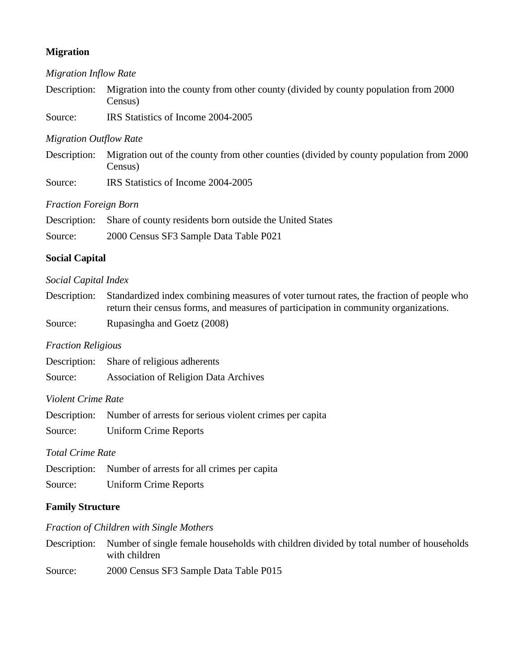# **Migration**

#### *Migration Inflow Rate*

Description: Migration into the county from other county (divided by county population from 2000 Census)

Source: IRS Statistics of Income 2004-2005

#### *Migration Outflow Rate*

Description: Migration out of the county from other counties (divided by county population from 2000 Census)

Source: IRS Statistics of Income 2004-2005

#### *Fraction Foreign Born*

|         | Description: Share of county residents born outside the United States |
|---------|-----------------------------------------------------------------------|
| Source: | 2000 Census SF3 Sample Data Table P021                                |

# **Social Capital**

#### *Social Capital Index*

| Description: Standardized index combining measures of voter turnout rates, the fraction of people who |
|-------------------------------------------------------------------------------------------------------|
| return their census forms, and measures of participation in community organizations.                  |

Source: Rupasingha and Goetz (2008)

#### *Fraction Religious*

| Description:<br>Share of religious adherents |  |
|----------------------------------------------|--|
|----------------------------------------------|--|

Source: Association of Religion Data Archives

### *Violent Crime Rate*

|         | Description: Number of arrests for serious violent crimes per capita |
|---------|----------------------------------------------------------------------|
| Source: | <b>Uniform Crime Reports</b>                                         |

#### *Total Crime Rate*

Description: Number of arrests for all crimes per capita

Source: Uniform Crime Reports

#### **Family Structure**

# *Fraction of Children with Single Mothers*

Description: Number of single female households with children divided by total number of households with children

Source: 2000 Census SF3 Sample Data Table P015